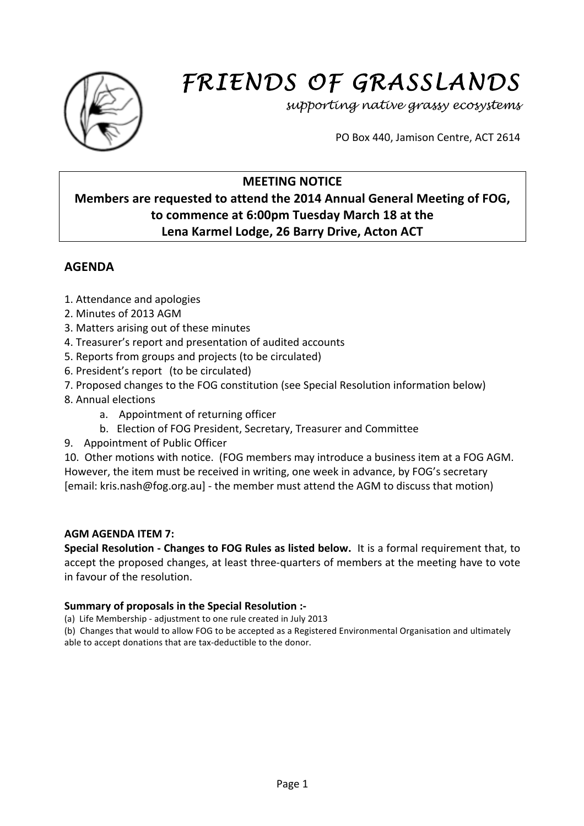

# *FRIENDS OF GRASSLANDS*

*supporting native grassy ecosystems* 

PO Box 440, Jamison Centre, ACT 2614

## **MEETING NOTICE**

# **Members** are requested to attend the 2014 Annual General Meeting of FOG, **to'commence at 6:00pm'Tuesday March 18'at'the'** Lena Karmel Lodge, 26 Barry Drive, Acton ACT

# **AGENDA**

- 1. Attendance and apologies
- 2. Minutes of 2013 AGM
- 3. Matters arising out of these minutes
- 4. Treasurer's report and presentation of audited accounts
- 5. Reports from groups and projects (to be circulated)
- 6. President's report (to be circulated)
- 7. Proposed changes to the FOG constitution (see Special Resolution information below)
- 8. Annual elections
	- a. Appointment of returning officer
	- b. Election of FOG President, Secretary, Treasurer and Committee
- 9. Appointment of Public Officer

10. Other motions with notice. (FOG members may introduce a business item at a FOG AGM. However, the item must be received in writing, one week in advance, by FOG's secretary  $[$ email: kris.nash@fog.org.au] - the member must attend the AGM to discuss that motion)

## **AGM'AGENDA'ITEM'7:'**

**Special Resolution - Changes to FOG Rules as listed below.** It is a formal requirement that, to accept the proposed changes, at least three-quarters of members at the meeting have to vote in favour of the resolution.

## **Summary of proposals in the Special Resolution :-**

(a) Life Membership - adjustment to one rule created in July 2013

(b) Changes that would to allow FOG to be accepted as a Registered Environmental Organisation and ultimately able to accept donations that are tax-deductible to the donor.